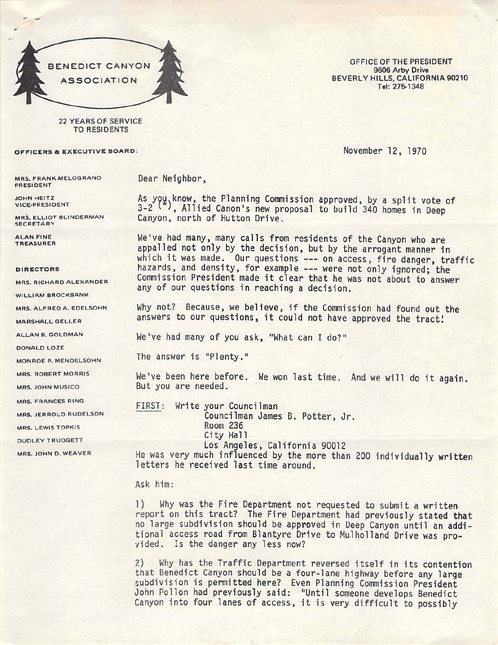

OFFICE OF THE PRESIDENT 9606 Arby Drive BEVERLY HILLS. CALIFORNIA 90210 Tel: 275-1348

22 YEARS OF SERVICE TO RESIDENTS

## OFFICERS & EXECUTIVE BOARD: NOVEMBER 12, 1970

MRS. FRANK-MELOGRANO PRESIDENT

JOHN HEITZ VICE-PRESIDENT

MRS. ELLIOT BLINDERMAN **SECRETARY** 

ALAN FINE TREASURER

## DIRECTORS

MRS. RICHARD ALEXANDER

WILLIAM BROCKBANK

MRS. ALFRED A. EDELSOHN

MARSHALL QELLER

ALLAN B. GOLDMAN

DONALD LOZE

MONROE P. MENDELSOHN

MRS. ROBERT MORRIS

MRS. JOHN MUSICO

MRS. FRANCES RING

MRS. JERROLD RUDELSON

MRS. LEWIS TOPKIS

DUDLEY TRUDGETT

MRS. JOHN D. WEAVER

Dear Neighbor,

As you. know, the Planning Commission approved, by a split vote of 3-2<sup>(\*)</sup>, Allied Canon's new proposal to build 340 homes in Deep Canyon, north of Hutton Drive.

We've had many, many calls from residents of the Canyon who are appalled not only by the decision, but by the arrogant manner in which it was made. Our questions --- on access, fire danger, traffic hazards, and density, for example --- were not only ignored; the Commission President made it clear that he was not about to answer any of our questions in reaching a decision.

Why not? Because, we believe, if the Commission had found out the answers to our questions, it could not have approved the tract!

We've had many of you ask, "What can I do?"

The answer is "Plenty."

We've been here before. We won last time. And we will do it again. But you are needed.

FIRST: Write your Councilman Councilman James B. Potter, Jr. Room 236 City Hall Los Angeles, California 90012 He was very much influenced by the more than 200 individually written letters he received last time around.

## Ask him:

1) Why was the Fire Department not requested to submit a written report on this tract? The Fire Department had previously stated that no large subdivision should be approved in Deep Canyon until an addi tional access road from Blantyre Drive to Mulholland Drive was provided. Is the danger any less now?

2) Why has the Traffic Department reversed itself in its contention that Benedict Canyon should be a four-lane highway before any large subdivision is permitted here? Even Planning Commission President John Pollon had previously said: "Until someone develops Benedict Canyon into four lanes of access, it is very difficult to possibly